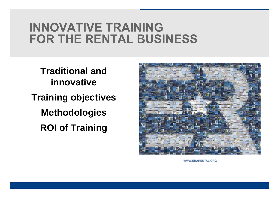**Traditional and innovative Training objectives Methodologies ROI of Training**



**WWW.ERARENTAL.ORG**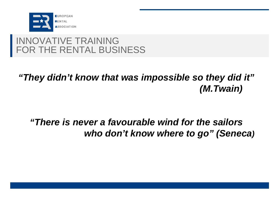

## *"They didn't know that was impossible so they did it" (M.Twain)*

## *"There is never a favourable wind for the sailors who don't know where to go" (Seneca)*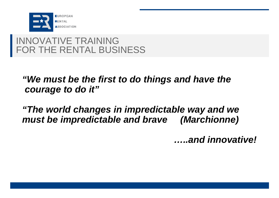

### *"We must be the first to do things and have the courage to do it"*

*"The world changes in impredictable way and we must be impredictable and brave (Marchionne)* 

*…..and innovative!*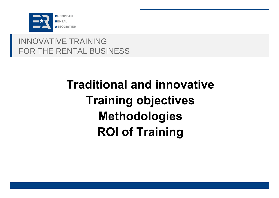

# **Traditional and innovative Training objectives Methodologies ROI of Training**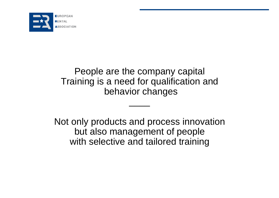

### People are the company capital Training is a need for qualification and behavior changes

 $\overline{\phantom{a}}$ 

Not only products and process innovation but also management of people with selective and tailored training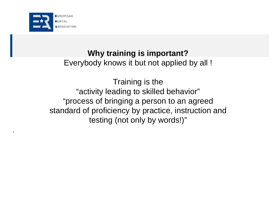

.

#### **Why training is important?**

Everybody knows it but not applied by all !

Training is the "activity leading to skilled behavior" "process of bringing a person to an agreed standard of proficiency by practice, instruction and testing (not only by words!)"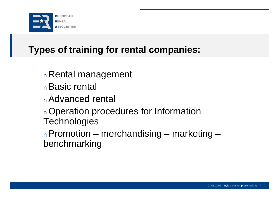

## **Types of training for rental companies:**

- <sup>n</sup>Rental management
- <sup>n</sup>Basic rental
- <sup>n</sup>Advanced rental
- <sup>n</sup>Operation procedures for Information **Technologies**
- <sup>n</sup>Promotion merchandising marketing benchmarking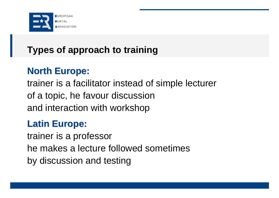

## **Types of approach to training**

## **North Europe:**

trainer is a facilitator instead of simple lecturer of a topic, he favour discussion and interaction with workshop

## **Latin Europe:**

trainer is a professor he makes a lecture followed sometimes by discussion and testing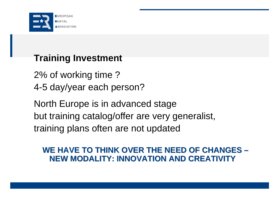

### **Training Investment**

2% of working time ? 4-5 day/year each person?

North Europe is in advanced stage but training catalog/offer are very generalist, training plans often are not updated

#### **WE HAVE TO THINK OVER THE NEED OF CHANGES – NEW MODALITY: INNOVATION AND CREATIVITY**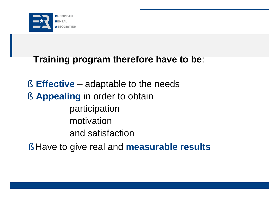

## **Training program therefore have to be**:

§ **Effective** – adaptable to the needs § **Appealing** in order to obtain participation motivation and satisfaction

§ Have to give real and **measurable results**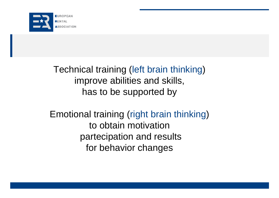

Technical training (left brain thinking) improve abilities and skills, has to be supported by

Emotional training (right brain thinking) to obtain motivation partecipation and results for behavior changes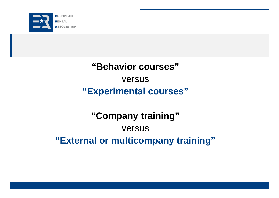

## **"Behavior courses"** versus **"Experimental courses"**

## **"Company training"** versus **"External or multicompany training"**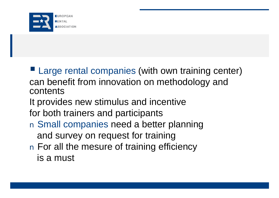

**Large rental companies (with own training center)** can benefit from innovation on methodology and contents

- It provides new stimulus and incentive
- for both trainers and participants
- n Small companies need a better planning and survey on request for training
- n For all the mesure of training efficiency is a must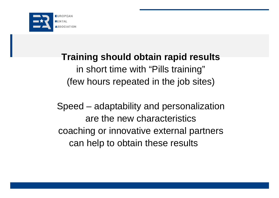

## **Training should obtain rapid results** in short time with "Pills training"

(few hours repeated in the job sites)

Speed – adaptability and personalization are the new characteristics coaching or innovative external partners can help to obtain these results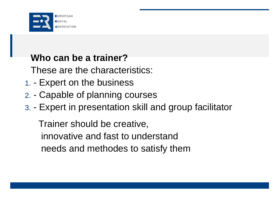

### **Who can be a trainer?**

These are the characteristics:

- 1. Expert on the business
- 2. Capable of planning courses
- 3. Expert in presentation skill and group facilitator

Trainer should be creative, innovative and fast to understand needs and methodes to satisfy them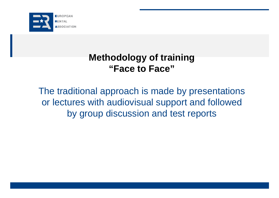

### **Methodology of training "Face to Face"**

The traditional approach is made by presentations or lectures with audiovisual support and followed by group discussion and test reports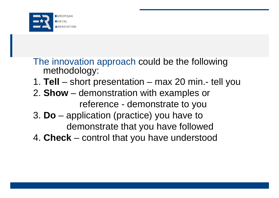

The innovation approach could be the following methodology:

- 1. **Tell** short presentation max 20 min.- tell you
- 2. **Show** demonstration with examples or reference - demonstrate to you
- 3. **Do** application (practice) you have to demonstrate that you have followed
- 4. **Check** control that you have understood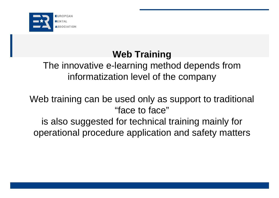

## **Web Training**

## The innovative e-learning method depends from informatization level of the company

Web training can be used only as support to traditional "face to face"

is also suggested for technical training mainly for operational procedure application and safety matters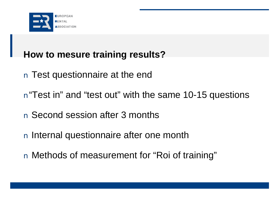

## **How to mesure training results?**

- n Test questionnaire at the end
- n "Test in" and "test out" with the same 10-15 questions
- n Second session after 3 months
- n Internal questionnaire after one month
- n Methods of measurement for "Roi of training"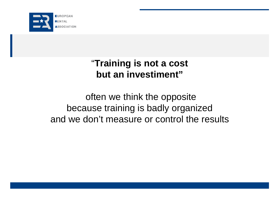

## "**Training is not a cost but an investiment"**

## often we think the opposite because training is badly organized and we don't measure or control the results